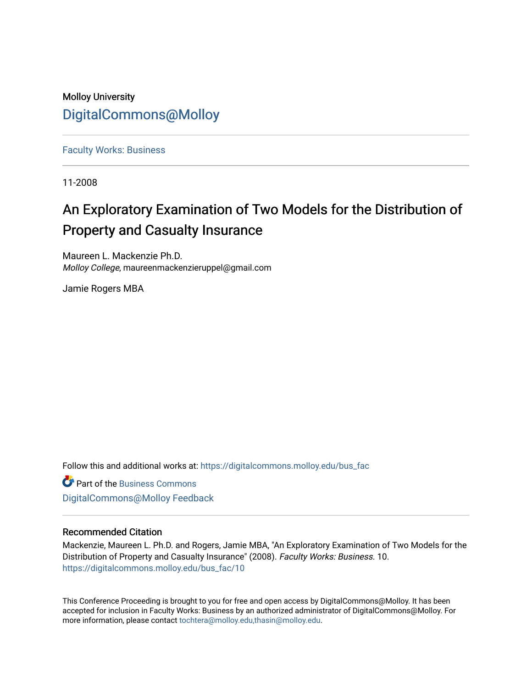## Molloy University [DigitalCommons@Molloy](https://digitalcommons.molloy.edu/)

[Faculty Works: Business](https://digitalcommons.molloy.edu/bus_fac) 

11-2008

# An Exploratory Examination of Two Models for the Distribution of Property and Casualty Insurance

Maureen L. Mackenzie Ph.D. Molloy College, maureenmackenzieruppel@gmail.com

Jamie Rogers MBA

Follow this and additional works at: [https://digitalcommons.molloy.edu/bus\\_fac](https://digitalcommons.molloy.edu/bus_fac?utm_source=digitalcommons.molloy.edu%2Fbus_fac%2F10&utm_medium=PDF&utm_campaign=PDFCoverPages)

**C** Part of the [Business Commons](https://network.bepress.com/hgg/discipline/622?utm_source=digitalcommons.molloy.edu%2Fbus_fac%2F10&utm_medium=PDF&utm_campaign=PDFCoverPages) [DigitalCommons@Molloy Feedback](https://molloy.libwizard.com/f/dcfeedback)

## Recommended Citation

Mackenzie, Maureen L. Ph.D. and Rogers, Jamie MBA, "An Exploratory Examination of Two Models for the Distribution of Property and Casualty Insurance" (2008). Faculty Works: Business. 10. [https://digitalcommons.molloy.edu/bus\\_fac/10](https://digitalcommons.molloy.edu/bus_fac/10?utm_source=digitalcommons.molloy.edu%2Fbus_fac%2F10&utm_medium=PDF&utm_campaign=PDFCoverPages) 

This Conference Proceeding is brought to you for free and open access by DigitalCommons@Molloy. It has been accepted for inclusion in Faculty Works: Business by an authorized administrator of DigitalCommons@Molloy. For more information, please contact [tochtera@molloy.edu,thasin@molloy.edu.](mailto:tochtera@molloy.edu,thasin@molloy.edu)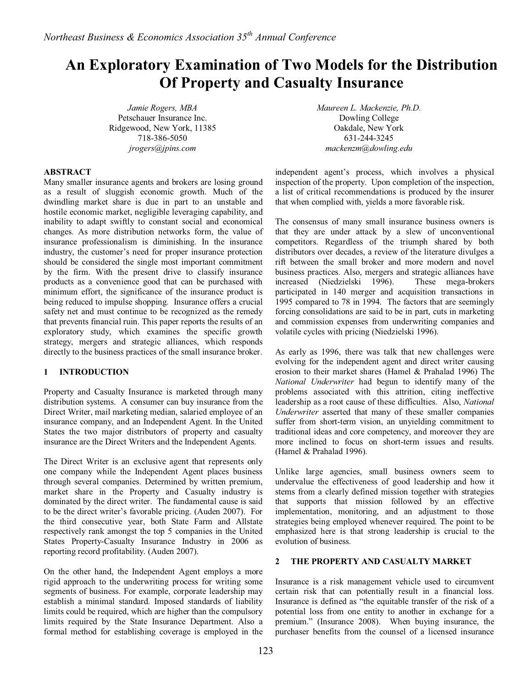## **An Exploratory Examination of Two Models for the Distribution Of Property and Casualty Insurance**

*Jamie Rogers, MBA*  Petschauer Insurance Inc. Ridgewood, New York, 11385 718-386-5050 *jrogers@jpins.com* 

*Maureen L. Mackenzie, Ph.D.*  Dowling College Oakdale, New York 631-244-3245 *mackenzm@dowling.edu* 

## **ABSTRACT**

Many smaller insurance agents and brokers are losing ground as a result of sluggish economic growth. Much of the dwindling market share is due in part to an unstable and hostile economic market, negligible leveraging capability, and inability to adapt swiftly to constant social and economical changes. As more distribution networks form, the value of insurance professionalism is diminishing. In the insurance industry, the customer's need for proper insurance protection should be considered the single most important commitment by the firm. With the present drive to classify insurance products as a convenience good that can be purchased with minimum effort, the significance of the insurance product is being reduced to impulse shopping. Insurance offers a crucial safety net and must continue to be recognized as the remedy that prevents financial ruin. This paper reports the results of an exploratory study, which examines the specific growth strategy, mergers and strategic alliances, which responds directly to the business practices of the small insurance broker.

## **1 INTRODUCTION**

Property and Casualty Insurance is marketed through many distribution systems. A consumer can buy insurance from the Direct Writer, mail marketing median, salaried employee of an insurance company, and an Independent Agent. In the United States the two major distributors of property and casualty insurance are the Direct Writers and the Independent Agents.

The Direct Writer is an exclusive agent that represents only one company while the Independent Agent places business through several companies. Determined by written premium, market share in the Property and Casualty industry is dominated by the direct writer. The fundamental cause is said to be the direct writer's favorable pricing. (Auden 2007). For the third consecutive year, both State Farm and Allstate respectively rank amongst the top 5 companies in the United States Property-Casualty Insurance Industry in 2006 as reporting record profitability. (Auden 2007).

On the other hand, the Independent Agent employs a more rigid approach to the underwriting process for writing some segments of business. For example, corporate leadership may establish a minimal standard. Imposed standards of liability limits could be required, which are higher than the compulsory limits required by the State Insurance Department. Also a formal method for establishing coverage is employed in the

independent agent's process, which involves a physical inspection of the property. Upon completion of the inspection, a list of critical recommendations is produced by the insurer that when complied with, yields a more favorable risk.

The consensus of many small insurance business owners is that they are under attack by a slew of unconventional competitors. Regardless of the triumph shared by both distributors over decades, a review of the literature divulges a rift between the small broker and more modern and novel business practices. Also, mergers and strategic alliances have increased (Niedzielski 1996). These mega-brokers participated in 140 merger and acquisition transactions in 1995 compared to 78 in 1994. The factors that are seemingly forcing consolidations are said to be in part, cuts in marketing and commission expenses from underwriting companies and volatile cycles with pricing (Niedzielski 1996).

As early as 1996, there was talk that new challenges were evolving for the independent agent and direct writer causing erosion to their market shares (Hamel & Prahalad 1996) The *National Underwriter* had begun to identify many of the problems associated with this attrition, citing ineffective leadership as a root cause of these difficulties. Also, *National Underwriter* asserted that many of these smaller companies suffer from short-term vision, an unyielding commitment to traditional ideas and core competency, and moreover they are more inclined to focus on short-term issues and results. (Hamel & Prahalad 1996).

Unlike large agencies, small business owners seem to undervalue the effectiveness of good leadership and how it stems from a clearly defined mission together with strategies that supports that mission followed by an effective implementation, monitoring, and an adjustment to those strategies being employed whenever required. The point to be emphasized here is that strong leadership is crucial to the evolution of business.

## **2 THE PROPERTY AND CASUALTY MARKET**

Insurance is a risk management vehicle used to circumvent certain risk that can potentially result in a financial loss. Insurance is defined as "the equitable transfer of the risk of a potential loss from one entity to another in exchange for a premium." (Insurance 2008). When buying insurance, the purchaser benefits from the counsel of a licensed insurance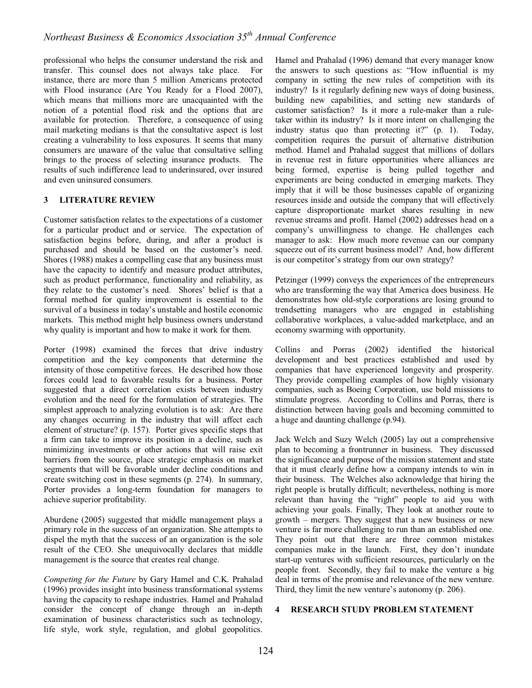professional who helps the consumer understand the risk and transfer. This counsel does not always take place. For instance, there are more than 5 million Americans protected with Flood insurance (Are You Ready for a Flood 2007), which means that millions more are unacquainted with the notion of a potential flood risk and the options that are available for protection. Therefore, a consequence of using mail marketing medians is that the consultative aspect is lost creating a vulnerability to loss exposures. It seems that many consumers are unaware of the value that consultative selling brings to the process of selecting insurance products. The results of such indifference lead to underinsured, over insured and even uninsured consumers.

## **3 LITERATURE REVIEW**

Customer satisfaction relates to the expectations of a customer for a particular product and or service. The expectation of satisfaction begins before, during, and after a product is purchased and should be based on the customer's need. Shores (1988) makes a compelling case that any business must have the capacity to identify and measure product attributes, such as product performance, functionality and reliability, as they relate to the customer's need. Shores' belief is that a formal method for quality improvement is essential to the survival of a business in today's unstable and hostile economic markets. This method might help business owners understand why quality is important and how to make it work for them.

Porter (1998) examined the forces that drive industry competition and the key components that determine the intensity of those competitive forces. He described how those forces could lead to favorable results for a business. Porter suggested that a direct correlation exists between industry evolution and the need for the formulation of strategies. The simplest approach to analyzing evolution is to ask: Are there any changes occurring in the industry that will affect each element of structure? (p. 157). Porter gives specific steps that a firm can take to improve its position in a decline, such as minimizing investments or other actions that will raise exit barriers from the source, place strategic emphasis on market segments that will be favorable under decline conditions and create switching cost in these segments (p. 274). In summary, Porter provides a long-term foundation for managers to achieve superior profitability.

Aburdene (2005) suggested that middle management plays a primary role in the success of an organization. She attempts to dispel the myth that the success of an organization is the sole result of the CEO. She unequivocally declares that middle management is the source that creates real change.

*Competing for the Future* by Gary Hamel and C.K. Prahalad (1996) provides insight into business transformational systems having the capacity to reshape industries. Hamel and Prahalad consider the concept of change through an in-depth examination of business characteristics such as technology, life style, work style, regulation, and global geopolitics. Hamel and Prahalad (1996) demand that every manager know the answers to such questions as: "How influential is my company in setting the new rules of competition with its industry? Is it regularly defining new ways of doing business, building new capabilities, and setting new standards of customer satisfaction? Is it more a rule-maker than a ruletaker within its industry? Is it more intent on challenging the industry status quo than protecting it?" (p. 1). Today, competition requires the pursuit of alternative distribution method. Hamel and Prahalad suggest that millions of dollars in revenue rest in future opportunities where alliances are being formed, expertise is being pulled together and experiments are being conducted in emerging markets. They imply that it will be those businesses capable of organizing resources inside and outside the company that will effectively capture disproportionate market shares resulting in new revenue streams and profit. Hamel (2002) addresses head on a company's unwillingness to change. He challenges each manager to ask: How much more revenue can our company squeeze out of its current business model? And, how different is our competitor's strategy from our own strategy?

Petzinger (1999) conveys the experiences of the entrepreneurs who are transforming the way that America does business. He demonstrates how old-style corporations are losing ground to trendsetting managers who are engaged in establishing collaborative workplaces, a value-added marketplace, and an economy swarming with opportunity.

Collins and Porras (2002) identified the historical development and best practices established and used by companies that have experienced longevity and prosperity. They provide compelling examples of how highly visionary companies, such as Boeing Corporation, use bold missions to stimulate progress. According to Collins and Porras, there is distinction between having goals and becoming committed to a huge and daunting challenge (p.94).

Jack Welch and Suzy Welch (2005) lay out a comprehensive plan to becoming a frontrunner in business. They discussed the significance and purpose of the mission statement and state that it must clearly define how a company intends to win in their business. The Welches also acknowledge that hiring the right people is brutally difficult; nevertheless, nothing is more relevant than having the "right" people to aid you with achieving your goals. Finally, They look at another route to growth – mergers. They suggest that a new business or new venture is far more challenging to run than an established one. They point out that there are three common mistakes companies make in the launch. First, they don't inundate start-up ventures with sufficient resources, particularly on the people front. Secondly, they fail to make the venture a big deal in terms of the promise and relevance of the new venture. Third, they limit the new venture's autonomy (p. 206).

#### **4 RESEARCH STUDY PROBLEM STATEMENT**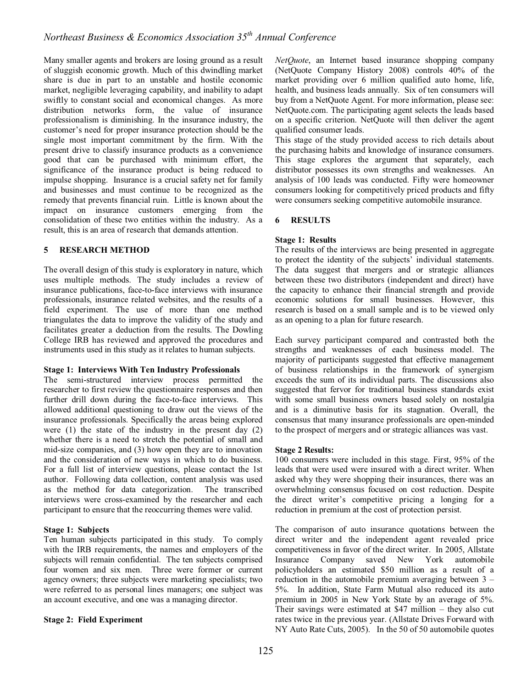Many smaller agents and brokers are losing ground as a result of sluggish economic growth. Much of this dwindling market share is due in part to an unstable and hostile economic market, negligible leveraging capability, and inability to adapt swiftly to constant social and economical changes. As more distribution networks form, the value of insurance professionalism is diminishing. In the insurance industry, the customer's need for proper insurance protection should be the single most important commitment by the firm. With the present drive to classify insurance products as a convenience good that can be purchased with minimum effort, the significance of the insurance product is being reduced to impulse shopping. Insurance is a crucial safety net for family and businesses and must continue to be recognized as the remedy that prevents financial ruin. Little is known about the impact on insurance customers emerging from the consolidation of these two entities within the industry. As a result, this is an area of research that demands attention.

#### **5 RESEARCH METHOD**

The overall design of this study is exploratory in nature, which uses multiple methods. The study includes a review of insurance publications, face-to-face interviews with insurance professionals, insurance related websites, and the results of a field experiment. The use of more than one method triangulates the data to improve the validity of the study and facilitates greater a deduction from the results. The Dowling College IRB has reviewed and approved the procedures and instruments used in this study as it relates to human subjects.

## **Stage 1: Interviews With Ten Industry Professionals**

The semi-structured interview process permitted the researcher to first review the questionnaire responses and then further drill down during the face-to-face interviews. This allowed additional questioning to draw out the views of the insurance professionals. Specifically the areas being explored were (1) the state of the industry in the present day (2) whether there is a need to stretch the potential of small and mid-size companies, and (3) how open they are to innovation and the consideration of new ways in which to do business. For a full list of interview questions, please contact the 1st author. Following data collection, content analysis was used as the method for data categorization. The transcribed interviews were cross-examined by the researcher and each participant to ensure that the reoccurring themes were valid.

#### **Stage 1: Subjects**

Ten human subjects participated in this study. To comply with the IRB requirements, the names and employers of the subjects will remain confidential. The ten subjects comprised four women and six men. Three were former or current agency owners; three subjects were marketing specialists; two were referred to as personal lines managers; one subject was an account executive, and one was a managing director.

## **Stage 2: Field Experiment**

*NetQuote*, an Internet based insurance shopping company (NetQuote Company History 2008) controls 40% of the market providing over 6 million qualified auto home, life, health, and business leads annually. Six of ten consumers will buy from a NetQuote Agent. For more information, please see: NetQuote.com. The participating agent selects the leads based on a specific criterion. NetQuote will then deliver the agent qualified consumer leads.

This stage of the study provided access to rich details about the purchasing habits and knowledge of insurance consumers. This stage explores the argument that separately, each distributor possesses its own strengths and weaknesses. An analysis of 100 leads was conducted. Fifty were homeowner consumers looking for competitively priced products and fifty were consumers seeking competitive automobile insurance.

## **6 RESULTS**

#### **Stage 1: Results**

The results of the interviews are being presented in aggregate to protect the identity of the subjects' individual statements. The data suggest that mergers and or strategic alliances between these two distributors (independent and direct) have the capacity to enhance their financial strength and provide economic solutions for small businesses. However, this research is based on a small sample and is to be viewed only as an opening to a plan for future research.

Each survey participant compared and contrasted both the strengths and weaknesses of each business model. The majority of participants suggested that effective management of business relationships in the framework of synergism exceeds the sum of its individual parts. The discussions also suggested that fervor for traditional business standards exist with some small business owners based solely on nostalgia and is a diminutive basis for its stagnation. Overall, the consensus that many insurance professionals are open-minded to the prospect of mergers and or strategic alliances was vast.

#### **Stage 2 Results:**

100 consumers were included in this stage. First, 95% of the leads that were used were insured with a direct writer. When asked why they were shopping their insurances, there was an overwhelming consensus focused on cost reduction. Despite the direct writer's competitive pricing a longing for a reduction in premium at the cost of protection persist.

The comparison of auto insurance quotations between the direct writer and the independent agent revealed price competitiveness in favor of the direct writer. In 2005, Allstate Insurance Company saved New York automobile policyholders an estimated \$50 million as a result of a reduction in the automobile premium averaging between 3 – 5%. In addition, State Farm Mutual also reduced its auto premium in 2005 in New York State by an average of 5%. Their savings were estimated at \$47 million – they also cut rates twice in the previous year. (Allstate Drives Forward with NY Auto Rate Cuts, 2005). In the 50 of 50 automobile quotes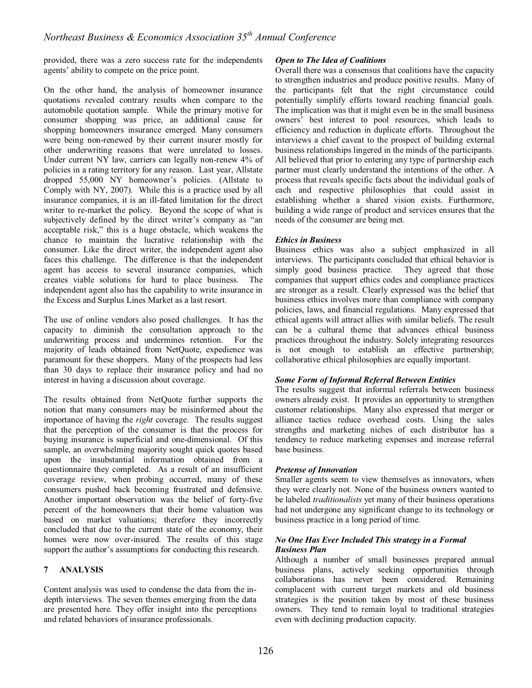provided, there was a zero success rate for the independents agents' ability to compete on the price point.

On the other hand, the analysis of homeowner insurance quotations revealed contrary results when compare to the automobile quotation sample. While the primary motive for consumer shopping was price, an additional cause for shopping homeowners insurance emerged. Many consumers were being non-renewed by their current insurer mostly for other underwriting reasons that were unrelated to losses. Under current NY law, carriers can legally non-renew 4% of policies in a rating territory for any reason. Last year, Allstate dropped 55,000 NY homeowner's policies. (Allstate to Comply with NY, 2007). While this is a practice used by all insurance companies, it is an ill-fated limitation for the direct writer to re-market the policy. Beyond the scope of what is subjectively defined by the direct writer's company as "an acceptable risk," this is a huge obstacle, which weakens the chance to maintain the lucrative relationship with the consumer. Like the direct writer, the independent agent also faces this challenge. The difference is that the independent agent has access to several insurance companies, which creates viable solutions for hard to place business. The independent agent also has the capability to write insurance in the Excess and Surplus Lines Market as a last resort.

The use of online vendors also posed challenges. It has the capacity to diminish the consultation approach to the underwriting process and undermines retention. For the majority of leads obtained from NetQuote, expedience was paramount for these shoppers. Many of the prospects had less than 30 days to replace their insurance policy and had no interest in having a discussion about coverage.

The results obtained from NetQuote further supports the notion that many consumers may be misinformed about the importance of having the *right* coverage. The results suggest that the perception of the consumer is that the process for buying insurance is superficial and one-dimensional. Of this sample, an overwhelming majority sought quick quotes based upon the insubstantial information obtained from a questionnaire they completed. As a result of an insufficient coverage review, when probing occurred, many of these consumers pushed back becoming frustrated and defensive. Another important observation was the belief of forty-five percent of the homeowners that their home valuation was based on market valuations; therefore they incorrectly concluded that due to the current state of the economy, their homes were now over-insured. The results of this stage support the author's assumptions for conducting this research.

## **7 ANALYSIS**

Content analysis was used to condense the data from the indepth interviews. The seven themes emerging from the data are presented here. They offer insight into the perceptions and related behaviors of insurance professionals.

#### *Open to The Idea of Coalitions*

Overall there was a consensus that coalitions have the capacity to strengthen industries and produce positive results. Many of the participants felt that the right circumstance could potentially simplify efforts toward reaching financial goals. The implication was that it might even be in the small business owners' best interest to pool resources, which leads to efficiency and reduction in duplicate efforts. Throughout the interviews a chief caveat to the prospect of building external business relationships lingered in the minds of the participants. All believed that prior to entering any type of partnership each partner must clearly understand the intentions of the other. A process that reveals specific facts about the individual goals of each and respective philosophies that could assist in establishing whether a shared vision exists. Furthermore, building a wide range of product and services ensures that the needs of the consumer are being met.

#### *Ethics in Business*

Business ethics was also a subject emphasized in all interviews. The participants concluded that ethical behavior is simply good business practice. They agreed that those companies that support ethics codes and compliance practices are stronger as a result. Clearly expressed was the belief that business ethics involves more than compliance with company policies, laws, and financial regulations. Many expressed that ethical agents will attract allies with similar beliefs. The result can be a cultural theme that advances ethical business practices throughout the industry. Solely integrating resources is not enough to establish an effective partnership; collaborative ethical philosophies are equally important.

## *Some Form of Informal Referral Between Entities*

The results suggest that informal referrals between business owners already exist. It provides an opportunity to strengthen customer relationships. Many also expressed that merger or alliance tactics reduce overhead costs. Using the sales strengths and marketing niches of each distributor has a tendency to reduce marketing expenses and increase referral base business.

## *Pretense of Innovation*

Smaller agents seem to view themselves as innovators, when they were clearly not. None of the business owners wanted to be labeled *traditionalists* yet many of their business operations had not undergone any significant change to its technology or business practice in a long period of time.

#### *No One Has Ever Included This strategy in a Formal Business Plan*

Although a number of small businesses prepared annual business plans, actively seeking opportunities through collaborations has never been considered. Remaining complacent with current target markets and old business strategies is the position taken by most of these business owners. They tend to remain loyal to traditional strategies even with declining production capacity.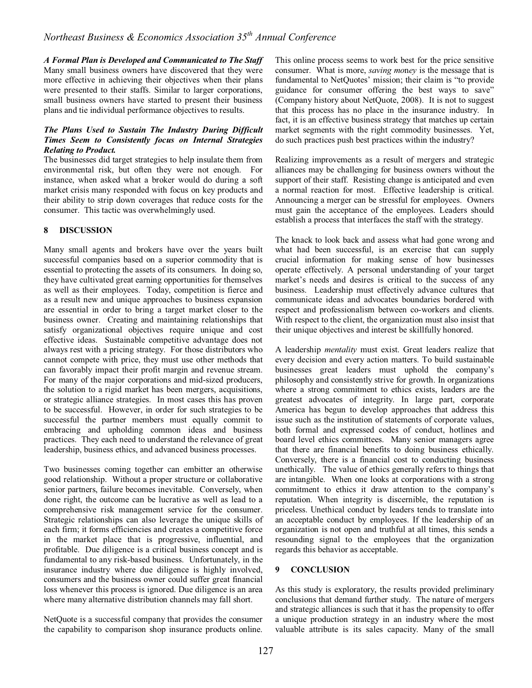*A Formal Plan is Developed and Communicated to The Staff*  Many small business owners have discovered that they were more effective in achieving their objectives when their plans were presented to their staffs. Similar to larger corporations, small business owners have started to present their business plans and tie individual performance objectives to results.

## *The Plans Used to Sustain The Industry During Difficult Times Seem to Consistently focus on Internal Strategies Relating to Product.*

The businesses did target strategies to help insulate them from environmental risk, but often they were not enough. For instance, when asked what a broker would do during a soft market crisis many responded with focus on key products and their ability to strip down coverages that reduce costs for the consumer. This tactic was overwhelmingly used.

## **8 DISCUSSION**

Many small agents and brokers have over the years built successful companies based on a superior commodity that is essential to protecting the assets of its consumers. In doing so, they have cultivated great earning opportunities for themselves as well as their employees. Today, competition is fierce and as a result new and unique approaches to business expansion are essential in order to bring a target market closer to the business owner. Creating and maintaining relationships that satisfy organizational objectives require unique and cost effective ideas. Sustainable competitive advantage does not always rest with a pricing strategy. For those distributors who cannot compete with price, they must use other methods that can favorably impact their profit margin and revenue stream. For many of the major corporations and mid-sized producers, the solution to a rigid market has been mergers, acquisitions, or strategic alliance strategies. In most cases this has proven to be successful. However, in order for such strategies to be successful the partner members must equally commit to embracing and upholding common ideas and business practices. They each need to understand the relevance of great leadership, business ethics, and advanced business processes.

Two businesses coming together can embitter an otherwise good relationship. Without a proper structure or collaborative senior partners, failure becomes inevitable. Conversely, when done right, the outcome can be lucrative as well as lead to a comprehensive risk management service for the consumer. Strategic relationships can also leverage the unique skills of each firm; it forms efficiencies and creates a competitive force in the market place that is progressive, influential, and profitable. Due diligence is a critical business concept and is fundamental to any risk-based business. Unfortunately, in the insurance industry where due diligence is highly involved, consumers and the business owner could suffer great financial loss whenever this process is ignored. Due diligence is an area where many alternative distribution channels may fall short.

NetQuote is a successful company that provides the consumer the capability to comparison shop insurance products online. This online process seems to work best for the price sensitive consumer. What is more, *saving mo*n*ey* is the message that is fundamental to NetQuotes' mission; their claim is "to provide guidance for consumer offering the best ways to save" (Company history about NetQuote, 2008). It is not to suggest that this process has no place in the insurance industry. In fact, it is an effective business strategy that matches up certain market segments with the right commodity businesses. Yet, do such practices push best practices within the industry?

Realizing improvements as a result of mergers and strategic alliances may be challenging for business owners without the support of their staff. Resisting change is anticipated and even a normal reaction for most. Effective leadership is critical. Announcing a merger can be stressful for employees. Owners must gain the acceptance of the employees. Leaders should establish a process that interfaces the staff with the strategy.

The knack to look back and assess what had gone wrong and what had been successful, is an exercise that can supply crucial information for making sense of how businesses operate effectively. A personal understanding of your target market's needs and desires is critical to the success of any business. Leadership must effectively advance cultures that communicate ideas and advocates boundaries bordered with respect and professionalism between co-workers and clients. With respect to the client, the organization must also insist that their unique objectives and interest be skillfully honored.

A leadership *mentality* must exist. Great leaders realize that every decision and every action matters. To build sustainable businesses great leaders must uphold the company's philosophy and consistently strive for growth. In organizations where a strong commitment to ethics exists, leaders are the greatest advocates of integrity. In large part, corporate America has begun to develop approaches that address this issue such as the institution of statements of corporate values, both formal and expressed codes of conduct, hotlines and board level ethics committees. Many senior managers agree that there are financial benefits to doing business ethically. Conversely, there is a financial cost to conducting business unethically. The value of ethics generally refers to things that are intangible. When one looks at corporations with a strong commitment to ethics it draw attention to the company's reputation. When integrity is discernible, the reputation is priceless. Unethical conduct by leaders tends to translate into an acceptable conduct by employees. If the leadership of an organization is not open and truthful at all times, this sends a resounding signal to the employees that the organization regards this behavior as acceptable.

#### **9 CONCLUSION**

As this study is exploratory, the results provided preliminary conclusions that demand further study. The nature of mergers and strategic alliances is such that it has the propensity to offer a unique production strategy in an industry where the most valuable attribute is its sales capacity. Many of the small